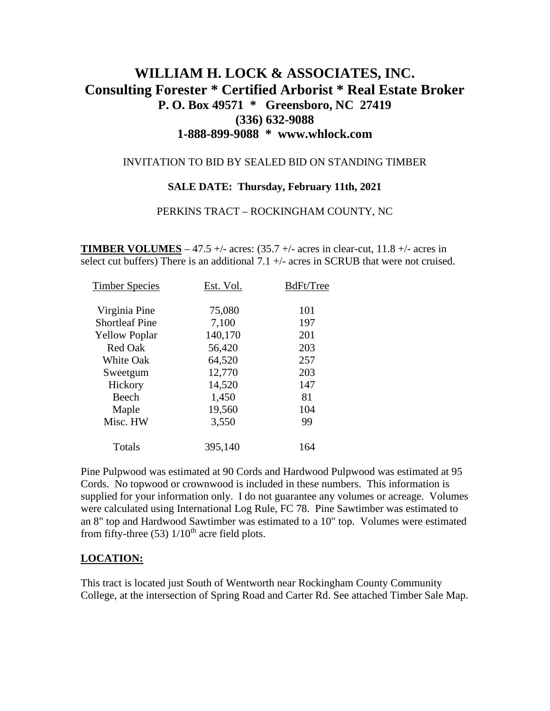# **WILLIAM H. LOCK & ASSOCIATES, INC. Consulting Forester \* Certified Arborist \* Real Estate Broker P. O. Box 49571 \* Greensboro, NC 27419 (336) 632-9088 1-888-899-9088 \* www.whlock.com**

#### INVITATION TO BID BY SEALED BID ON STANDING TIMBER

#### **SALE DATE: Thursday, February 11th, 2021**

#### PERKINS TRACT – ROCKINGHAM COUNTY, NC

**TIMBER VOLUMES** – 47.5 +/- acres:  $(35.7 +/- \text{ acres in clear-cut}, 11.8 +/- \text{ acres in}$ select cut buffers) There is an additional 7.1 +/- acres in SCRUB that were not cruised.

| <b>Timber Species</b> | Est. Vol. | BdFt/Tree |
|-----------------------|-----------|-----------|
| Virginia Pine         | 75,080    | 101       |
| <b>Shortleaf Pine</b> | 7,100     | 197       |
| <b>Yellow Poplar</b>  | 140,170   | 201       |
| <b>Red Oak</b>        | 56,420    | 203       |
| <b>White Oak</b>      | 64,520    | 257       |
| Sweetgum              | 12,770    | 203       |
| Hickory               | 14,520    | 147       |
| Beech                 | 1,450     | 81        |
| Maple                 | 19,560    | 104       |
| Misc. HW              | 3,550     | 99        |
| Totals                | 395,140   | 164       |
|                       |           |           |

Pine Pulpwood was estimated at 90 Cords and Hardwood Pulpwood was estimated at 95 Cords. No topwood or crownwood is included in these numbers. This information is supplied for your information only. I do not guarantee any volumes or acreage. Volumes were calculated using International Log Rule, FC 78. Pine Sawtimber was estimated to an 8" top and Hardwood Sawtimber was estimated to a 10" top. Volumes were estimated from fifty-three (53)  $1/10^{th}$  acre field plots.

### **LOCATION:**

This tract is located just South of Wentworth near Rockingham County Community College, at the intersection of Spring Road and Carter Rd. See attached Timber Sale Map.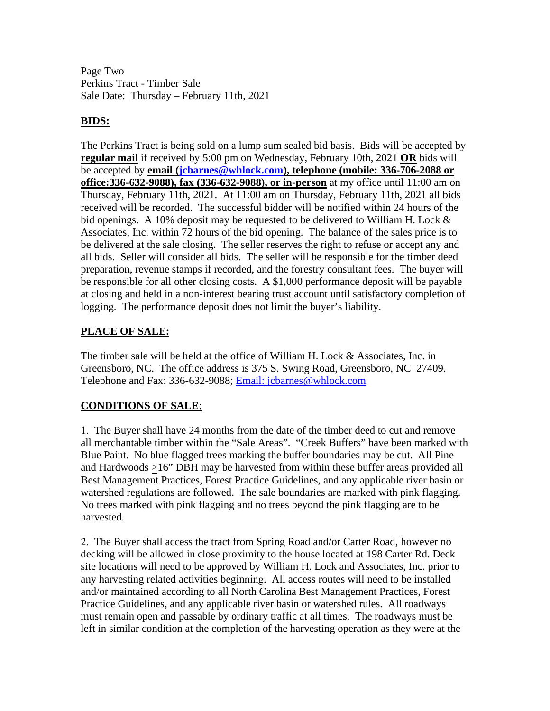Page Two Perkins Tract - Timber Sale Sale Date: Thursday – February 11th, 2021

### **BIDS:**

The Perkins Tract is being sold on a lump sum sealed bid basis. Bids will be accepted by **regular mail** if received by 5:00 pm on Wednesday, February 10th, 2021 **OR** bids will be accepted by **email [\(jcbarnes@whlock.com\)](mailto:jcbarnes@whlock.com), telephone (mobile: 336-706-2088 or office:336-632-9088), fax (336-632-9088), or in-person** at my office until 11:00 am on Thursday, February 11th, 2021. At 11:00 am on Thursday, February 11th, 2021 all bids received will be recorded. The successful bidder will be notified within 24 hours of the bid openings. A 10% deposit may be requested to be delivered to William H. Lock  $\&$ Associates, Inc. within 72 hours of the bid opening. The balance of the sales price is to be delivered at the sale closing. The seller reserves the right to refuse or accept any and all bids. Seller will consider all bids. The seller will be responsible for the timber deed preparation, revenue stamps if recorded, and the forestry consultant fees. The buyer will be responsible for all other closing costs. A \$1,000 performance deposit will be payable at closing and held in a non-interest bearing trust account until satisfactory completion of logging. The performance deposit does not limit the buyer's liability.

### **PLACE OF SALE:**

The timber sale will be held at the office of William H. Lock & Associates, Inc. in Greensboro, NC. The office address is 375 S. Swing Road, Greensboro, NC 27409. Telephone and Fax: 336-632-9088; [Email: jcbarnes@whlock.com](mailto:Email:%20jcbarnes@whlock.com) 

## **CONDITIONS OF SALE**:

1. The Buyer shall have 24 months from the date of the timber deed to cut and remove all merchantable timber within the "Sale Areas". "Creek Buffers" have been marked with Blue Paint. No blue flagged trees marking the buffer boundaries may be cut. All Pine and Hardwoods >16" DBH may be harvested from within these buffer areas provided all Best Management Practices, Forest Practice Guidelines, and any applicable river basin or watershed regulations are followed. The sale boundaries are marked with pink flagging. No trees marked with pink flagging and no trees beyond the pink flagging are to be harvested.

2. The Buyer shall access the tract from Spring Road and/or Carter Road, however no decking will be allowed in close proximity to the house located at 198 Carter Rd. Deck site locations will need to be approved by William H. Lock and Associates, Inc. prior to any harvesting related activities beginning. All access routes will need to be installed and/or maintained according to all North Carolina Best Management Practices, Forest Practice Guidelines, and any applicable river basin or watershed rules. All roadways must remain open and passable by ordinary traffic at all times. The roadways must be left in similar condition at the completion of the harvesting operation as they were at the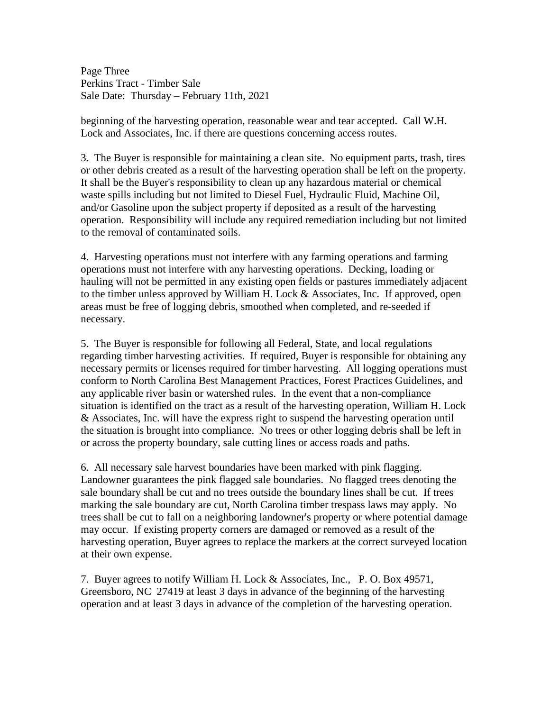Page Three Perkins Tract - Timber Sale Sale Date: Thursday – February 11th, 2021

beginning of the harvesting operation, reasonable wear and tear accepted. Call W.H. Lock and Associates, Inc. if there are questions concerning access routes.

3. The Buyer is responsible for maintaining a clean site. No equipment parts, trash, tires or other debris created as a result of the harvesting operation shall be left on the property. It shall be the Buyer's responsibility to clean up any hazardous material or chemical waste spills including but not limited to Diesel Fuel, Hydraulic Fluid, Machine Oil, and/or Gasoline upon the subject property if deposited as a result of the harvesting operation. Responsibility will include any required remediation including but not limited to the removal of contaminated soils.

4. Harvesting operations must not interfere with any farming operations and farming operations must not interfere with any harvesting operations. Decking, loading or hauling will not be permitted in any existing open fields or pastures immediately adjacent to the timber unless approved by William H. Lock & Associates, Inc. If approved, open areas must be free of logging debris, smoothed when completed, and re-seeded if necessary.

5. The Buyer is responsible for following all Federal, State, and local regulations regarding timber harvesting activities. If required, Buyer is responsible for obtaining any necessary permits or licenses required for timber harvesting. All logging operations must conform to North Carolina Best Management Practices, Forest Practices Guidelines, and any applicable river basin or watershed rules. In the event that a non-compliance situation is identified on the tract as a result of the harvesting operation, William H. Lock & Associates, Inc. will have the express right to suspend the harvesting operation until the situation is brought into compliance. No trees or other logging debris shall be left in or across the property boundary, sale cutting lines or access roads and paths.

6. All necessary sale harvest boundaries have been marked with pink flagging. Landowner guarantees the pink flagged sale boundaries. No flagged trees denoting the sale boundary shall be cut and no trees outside the boundary lines shall be cut. If trees marking the sale boundary are cut, North Carolina timber trespass laws may apply. No trees shall be cut to fall on a neighboring landowner's property or where potential damage may occur. If existing property corners are damaged or removed as a result of the harvesting operation, Buyer agrees to replace the markers at the correct surveyed location at their own expense.

7. Buyer agrees to notify William H. Lock & Associates, Inc., P. O. Box 49571, Greensboro, NC 27419 at least 3 days in advance of the beginning of the harvesting operation and at least 3 days in advance of the completion of the harvesting operation.